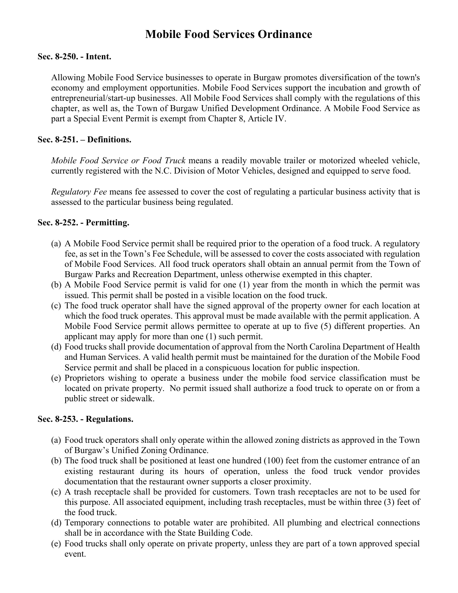# **Mobile Food Services Ordinance**

#### **Sec. 8-250. - Intent.**

Allowing Mobile Food Service businesses to operate in Burgaw promotes diversification of the town's economy and employment opportunities. Mobile Food Services support the incubation and growth of entrepreneurial/start-up businesses. All Mobile Food Services shall comply with the regulations of this chapter, as well as, the Town of Burgaw Unified Development Ordinance. A Mobile Food Service as part a Special Event Permit is exempt from Chapter 8, Article IV.

## **Sec. 8-251. – Definitions.**

*Mobile Food Service or Food Truck* means a readily movable trailer or motorized wheeled vehicle, currently registered with the N.C. Division of Motor Vehicles, designed and equipped to serve food.

*Regulatory Fee* means fee assessed to cover the cost of regulating a particular business activity that is assessed to the particular business being regulated.

## **Sec. 8-252. - Permitting.**

- (a) A Mobile Food Service permit shall be required prior to the operation of a food truck. A regulatory fee, as set in the Town's Fee Schedule, will be assessed to cover the costs associated with regulation of Mobile Food Services. All food truck operators shall obtain an annual permit from the Town of Burgaw Parks and Recreation Department, unless otherwise exempted in this chapter.
- (b) A Mobile Food Service permit is valid for one (1) year from the month in which the permit was issued. This permit shall be posted in a visible location on the food truck.
- (c) The food truck operator shall have the signed approval of the property owner for each location at which the food truck operates. This approval must be made available with the permit application. A Mobile Food Service permit allows permittee to operate at up to five (5) different properties. An applicant may apply for more than one (1) such permit.
- (d) Food trucks shall provide documentation of approval from the North Carolina Department of Health and Human Services. A valid health permit must be maintained for the duration of the Mobile Food Service permit and shall be placed in a conspicuous location for public inspection.
- (e) Proprietors wishing to operate a business under the mobile food service classification must be located on private property. No permit issued shall authorize a food truck to operate on or from a public street or sidewalk.

#### **Sec. 8-253. - Regulations.**

- (a) Food truck operators shall only operate within the allowed zoning districts as approved in the Town of Burgaw's Unified Zoning Ordinance.
- (b) The food truck shall be positioned at least one hundred (100) feet from the customer entrance of an existing restaurant during its hours of operation, unless the food truck vendor provides documentation that the restaurant owner supports a closer proximity.
- (c) A trash receptacle shall be provided for customers. Town trash receptacles are not to be used for this purpose. All associated equipment, including trash receptacles, must be within three (3) feet of the food truck.
- (d) Temporary connections to potable water are prohibited. All plumbing and electrical connections shall be in accordance with the State Building Code.
- (e) Food trucks shall only operate on private property, unless they are part of a town approved special event.